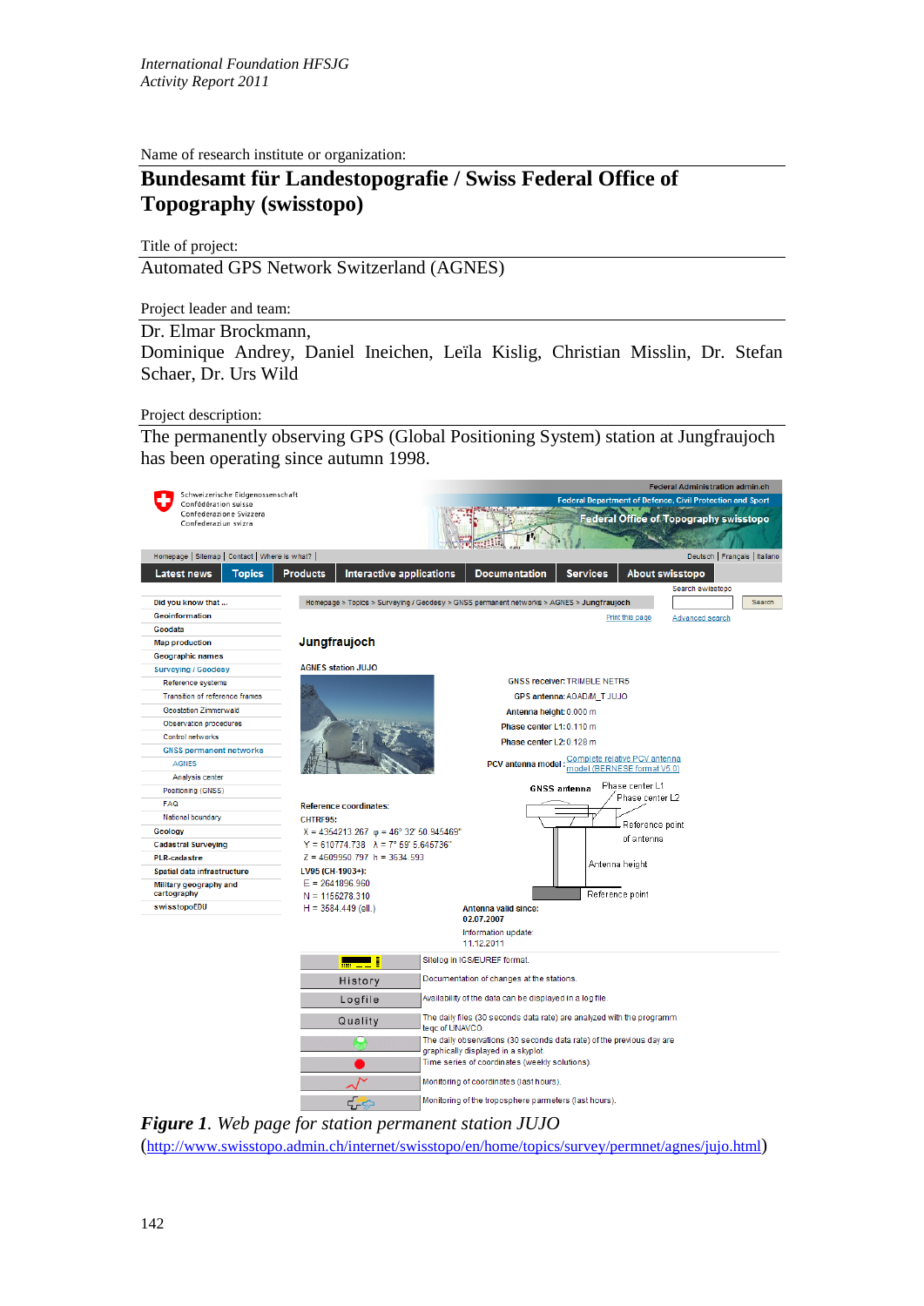Name of research institute or organization:

## **Bundesamt für Landestopografie / Swiss Federal Office of Topography (swisstopo)**

Title of project:

Automated GPS Network Switzerland (AGNES)

Project leader and team:

## Dr. Elmar Brockmann,

Dominique Andrey, Daniel Ineichen, Leïla Kislig, Christian Misslin, Dr. Stefan Schaer, Dr. Urs Wild

## Project description:

The permanently observing GPS (Global Positioning System) station at Jungfraujoch has been operating since autumn 1998.



*Figure 1. Web page for station permanent station JUJO* [\(http://www.swisstopo.admin.ch/internet/swisstopo/en/home/topics/survey/permnet/agnes/jujo.html\)](http://www.swisstopo.admin.ch/internet/swisstopo/en/home/topics/survey/permnet/agnes/jujo.html)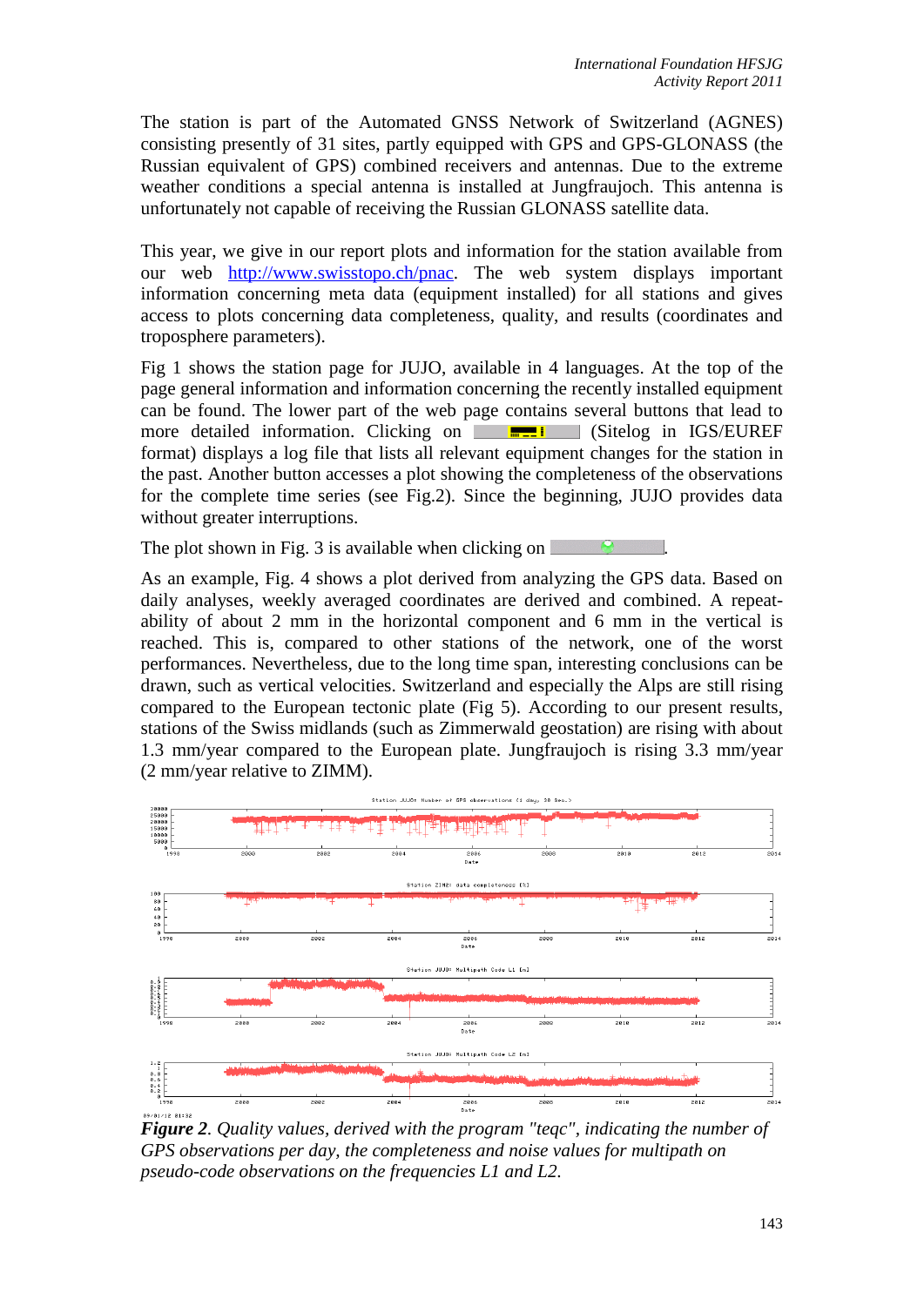The station is part of the Automated GNSS Network of Switzerland (AGNES) consisting presently of 31 sites, partly equipped with GPS and GPS-GLONASS (the Russian equivalent of GPS) combined receivers and antennas. Due to the extreme weather conditions a special antenna is installed at Jungfraujoch. This antenna is unfortunately not capable of receiving the Russian GLONASS satellite data.

This year, we give in our report plots and information for the station available from our web [http://www.swisstopo.ch/pnac.](http://www.swisstopo.ch/pnac) The web system displays important information concerning meta data (equipment installed) for all stations and gives access to plots concerning data completeness, quality, and results (coordinates and troposphere parameters).

Fig 1 shows the station page for JUJO, available in 4 languages. At the top of the page general information and information concerning the recently installed equipment can be found. The lower part of the web page contains several buttons that lead to more detailed information. Clicking on  $\Box$   $\Box$  (Sitelog in IGS/EUREF format) displays a log file that lists all relevant equipment changes for the station in the past. Another button accesses a plot showing the completeness of the observations for the complete time series (see Fig.2). Since the beginning, JUJO provides data without greater interruptions.

The plot shown in Fig. 3 is available when clicking on  $\Box$ 

As an example, Fig. 4 shows a plot derived from analyzing the GPS data. Based on daily analyses, weekly averaged coordinates are derived and combined. A repeatability of about 2 mm in the horizontal component and 6 mm in the vertical is reached. This is, compared to other stations of the network, one of the worst performances. Nevertheless, due to the long time span, interesting conclusions can be drawn, such as vertical velocities. Switzerland and especially the Alps are still rising compared to the European tectonic plate (Fig 5). According to our present results, stations of the Swiss midlands (such as Zimmerwald geostation) are rising with about 1.3 mm/year compared to the European plate. Jungfraujoch is rising 3.3 mm/year (2 mm/year relative to ZIMM).



*Figure 2. Quality values, derived with the program "teqc", indicating the number of GPS observations per day, the completeness and noise values for multipath on pseudo-code observations on the frequencies L1 and L2.*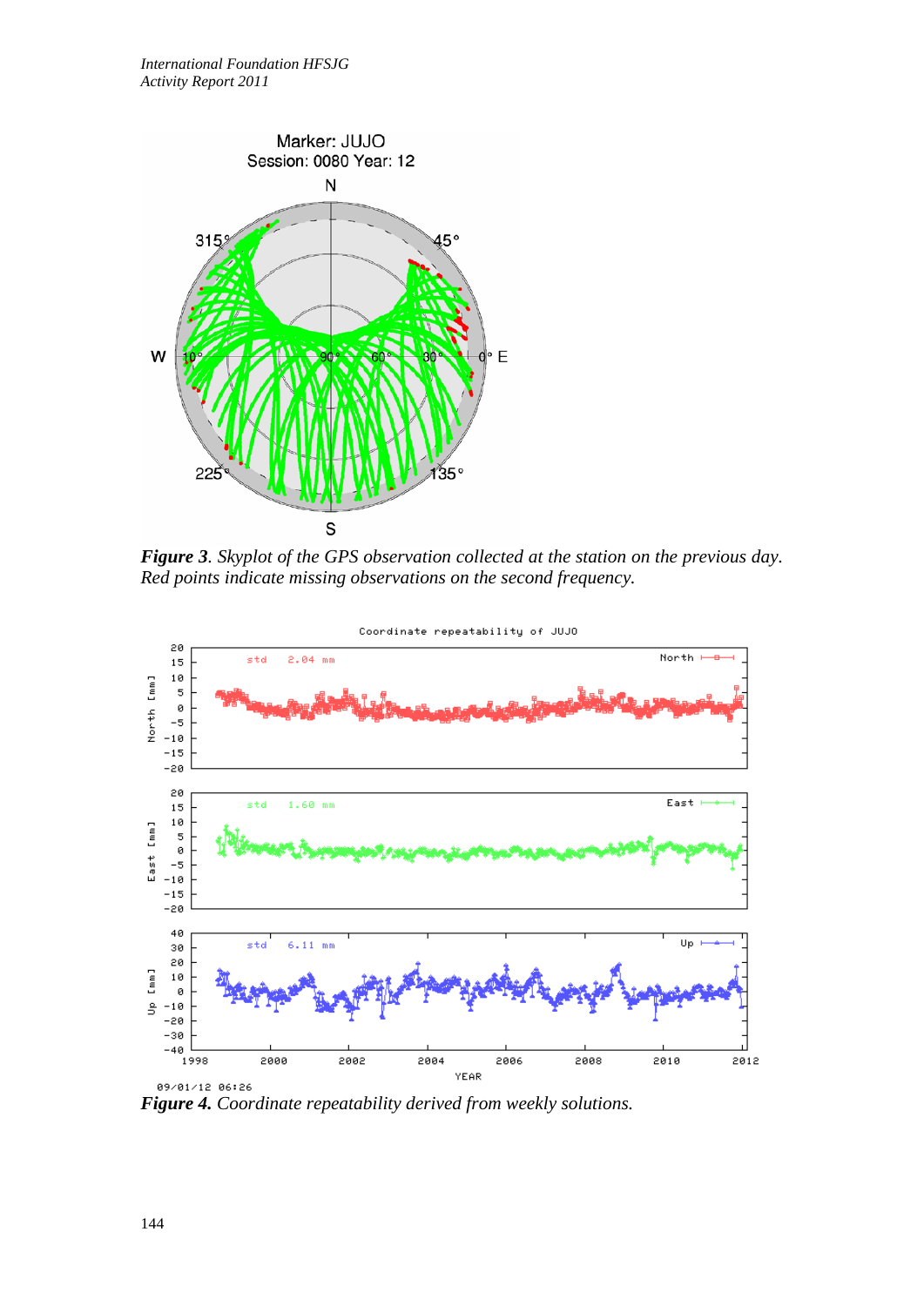

*Figure 3. Skyplot of the GPS observation collected at the station on the previous day. Red points indicate missing observations on the second frequency.*



*Figure 4. Coordinate repeatability derived from weekly solutions.*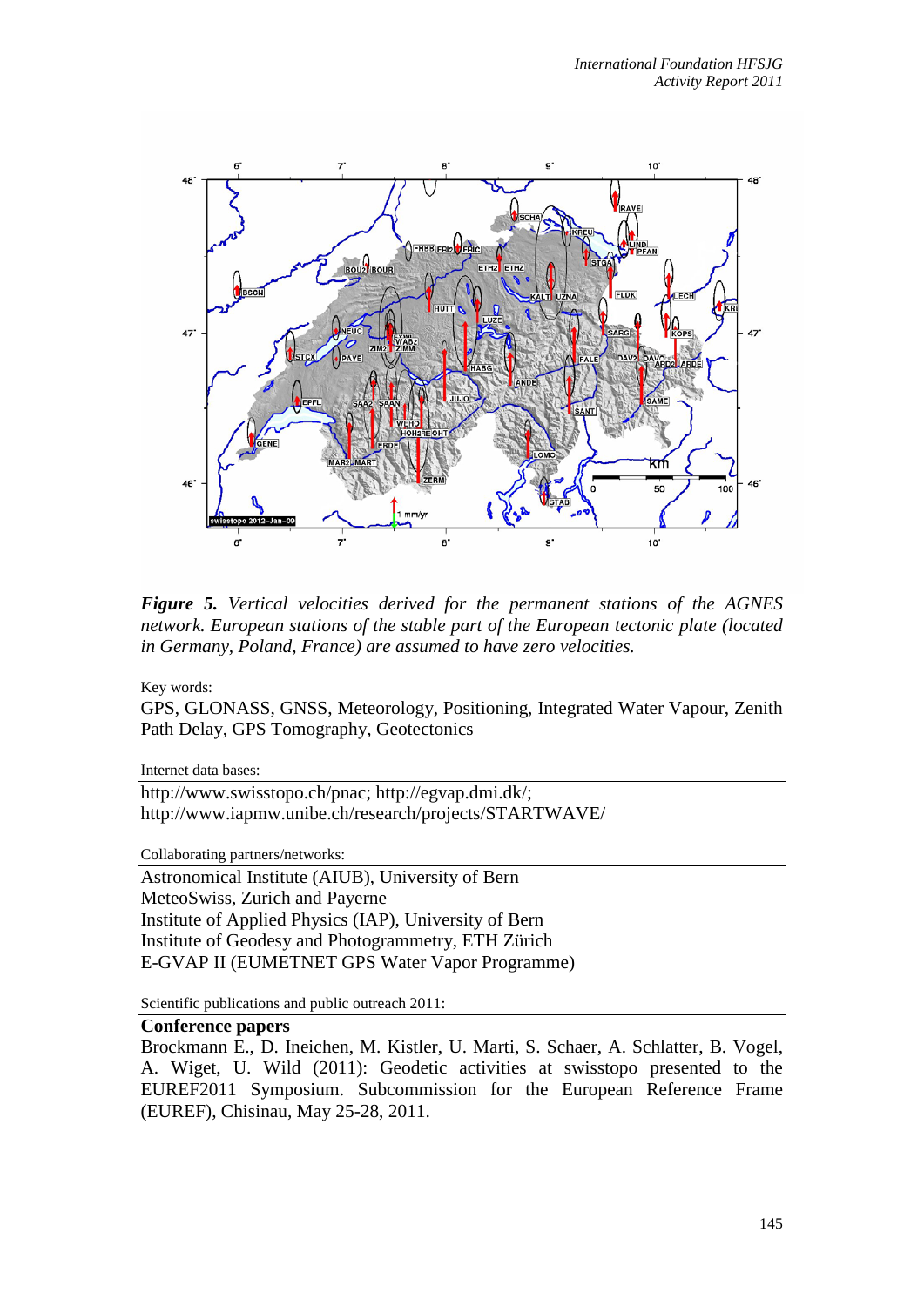

*Figure 5. Vertical velocities derived for the permanent stations of the AGNES network. European stations of the stable part of the European tectonic plate (located in Germany, Poland, France) are assumed to have zero velocities.*

Key words:

GPS, GLONASS, GNSS, Meteorology, Positioning, Integrated Water Vapour, Zenith Path Delay, GPS Tomography, Geotectonics

Internet data bases:

http://www.swisstopo.ch/pnac; http://egvap.dmi.dk/; http://www.iapmw.unibe.ch/research/projects/STARTWAVE/

Collaborating partners/networks:

Astronomical Institute (AIUB), University of Bern MeteoSwiss, Zurich and Payerne Institute of Applied Physics (IAP), University of Bern Institute of Geodesy and Photogrammetry, ETH Zürich E-GVAP II (EUMETNET GPS Water Vapor Programme)

Scientific publications and public outreach 2011:

## **Conference papers**

Brockmann E., D. Ineichen, M. Kistler, U. Marti, S. Schaer, A. Schlatter, B. Vogel, A. Wiget, U. Wild (2011): Geodetic activities at swisstopo presented to the EUREF2011 Symposium. Subcommission for the European Reference Frame (EUREF), Chisinau, May 25-28, 2011.